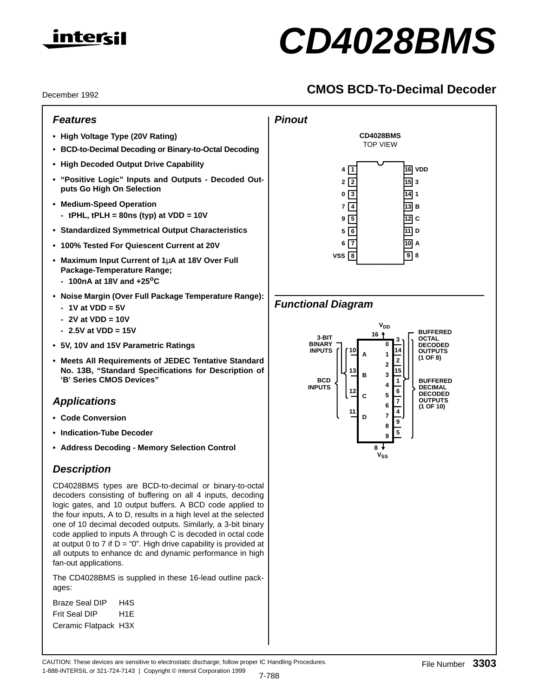

# **CD4028BMS**

# **CMOS BCD-To-Decimal Decoder**

December 1992

# **Features**

- **High Voltage Type (20V Rating)**
- **BCD-to-Decimal Decoding or Binary-to-Octal Decoding**
- **High Decoded Output Drive Capability**
- **"Positive Logic" Inputs and Outputs Decoded Outputs Go High On Selection**
- **Medium-Speed Operation**
- **tPHL, tPLH = 80ns (typ) at VDD = 10V**
- **Standardized Symmetrical Output Characteristics**
- **100% Tested For Quiescent Current at 20V**
- **Maximum Input Current of 1**µ**A at 18V Over Full Package-Temperature Range;**
	- **100nA at 18V and +25oC**
- **Noise Margin (Over Full Package Temperature Range):**
	- **1V at VDD = 5V**
	- **2V at VDD = 10V**
	- **2.5V at VDD = 15V**
- **5V, 10V and 15V Parametric Ratings**
- **Meets All Requirements of JEDEC Tentative Standard No. 13B, "Standard Specifications for Description of 'B' Series CMOS Devices"**

# **Applications**

- **Code Conversion**
- **Indication-Tube Decoder**
- **Address Decoding Memory Selection Control**

# **Description**

CD4028BMS types are BCD-to-decimal or binary-to-octal decoders consisting of buffering on all 4 inputs, decoding logic gates, and 10 output buffers. A BCD code applied to the four inputs, A to D, results in a high level at the selected one of 10 decimal decoded outputs. Similarly, a 3-bit binary code applied to inputs A through C is decoded in octal code at output 0 to 7 if  $D = "0"$ . High drive capability is provided at all outputs to enhance dc and dynamic performance in high fan-out applications.

The CD4028BMS is supplied in these 16-lead outline packages:

Braze Seal DIP H4S Frit Seal DIP H1E Ceramic Flatpack H3X



# **Functional Diagram**

**Pinout**



CAUTION: These devices are sensitive to electrostatic discharge; follow proper IC Handling Procedures. 1-888-INTERSIL or 321-724-7143 | Copyright © Intersil Corporation 1999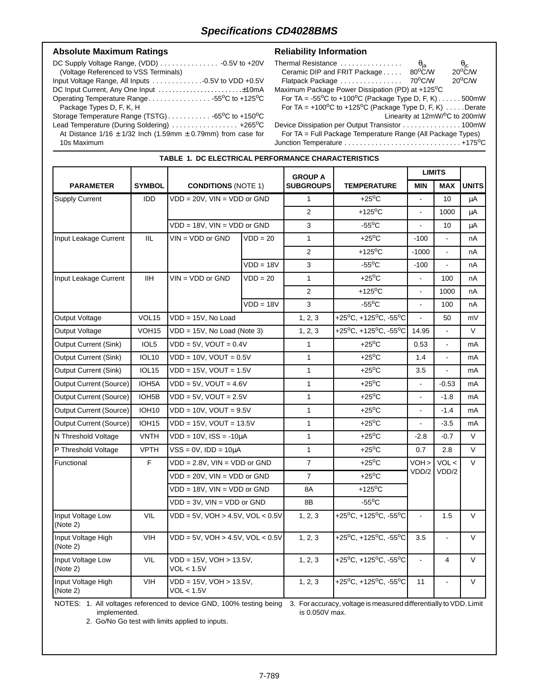#### Absolute Maximum Ratings **Reliability Information**

| (Voltage Referenced to VSS Terminals)                                |  |
|----------------------------------------------------------------------|--|
|                                                                      |  |
|                                                                      |  |
| Operating Temperature Range55°C to +125°C                            |  |
| Package Types D, F, K, H                                             |  |
|                                                                      |  |
| Lead Temperature (During Soldering)  +265°C                          |  |
| At Distance $1/16 \pm 1/32$ lnch (1.59mm $\pm$ 0.79mm) from case for |  |
| 10s Maximum                                                          |  |

| Thermal Resistance                                                          | $\Theta_{\sf ia}$ |                                                 |
|-----------------------------------------------------------------------------|-------------------|-------------------------------------------------|
| Ceramic DIP and FRIT Package                                                | 80°C/W            | $\frac{\theta_{\rm jc}}{20^{\circ} \text{C/W}}$ |
| Flatpack Package                                                            | 70°C/W            | $20^{\circ}$ C/W                                |
| Maximum Package Power Dissipation (PD) at +125°C                            |                   |                                                 |
| For TA = $-55^{\circ}$ C to $+100^{\circ}$ C (Package Type D, F, K)500mW    |                   |                                                 |
| For TA = $+100^{\circ}$ C to $+125^{\circ}$ C (Package Type D, F, K) Derate |                   |                                                 |
|                                                                             |                   | Linearity at 12mW/ <sup>o</sup> C to 200mW      |
| Device Dissipation per Output Transistor 100mW                              |                   |                                                 |
|                                                                             |                   |                                                 |

For TA = Full Package Temperature Range (All Package Types) Junction Temperature . . . . . . . . . . . . . . . . . . . . . . . . . . . . . . +175oC

|                                |                    |                                             |             | <b>GROUP A</b>   |                                                             | <b>LIMITS</b>            |                |              |
|--------------------------------|--------------------|---------------------------------------------|-------------|------------------|-------------------------------------------------------------|--------------------------|----------------|--------------|
| <b>PARAMETER</b>               | <b>SYMBOL</b>      | <b>CONDITIONS (NOTE 1)</b>                  |             | <b>SUBGROUPS</b> | <b>TEMPERATURE</b>                                          | <b>MIN</b>               | <b>MAX</b>     | <b>UNITS</b> |
| <b>Supply Current</b>          | <b>IDD</b>         | $VDD = 20V$ , $VIN = VDD$ or $GND$          |             | $\mathbf{1}$     | $+25^{\circ}$ C                                             | $\Box$                   | 10             | μA           |
|                                |                    |                                             |             | $\overline{2}$   | +125 $\mathrm{^{\circ}C}$                                   |                          | 1000           | μA           |
|                                |                    | $VDD = 18V$ , $VIN = VDD$ or $GND$          |             | 3                | $-55^{\circ}$ C                                             |                          | 10             | μA           |
| Input Leakage Current          | IIL                | $VIN = VDD$ or $GND$                        | $VDD = 20$  | $\mathbf{1}$     | $+25^{\circ}$ C                                             | $-100$                   |                | nA           |
|                                |                    |                                             |             | $\mathbf{2}$     | +125 $\mathrm{^{\circ}C}$                                   | $-1000$                  | $\blacksquare$ | пA           |
|                                |                    |                                             | $VDD = 18V$ | 3                | $-55^{\circ}$ C                                             | $-100$                   |                | пA           |
| Input Leakage Current          | <b>IIH</b>         | $VIN = VDD$ or $GND$                        | $VDD = 20$  | $\mathbf{1}$     | $+25^{\circ}$ C                                             |                          | 100            | nA           |
|                                |                    |                                             |             | $\overline{2}$   | +125 $\mathrm{^{\circ}C}$                                   | $\blacksquare$           | 1000           | пA           |
|                                |                    |                                             | $VDD = 18V$ | 3                | $-55^{\circ}$ C                                             | $\overline{a}$           | 100            | nA           |
| Output Voltage                 | VOL <sub>15</sub>  | VDD = 15V, No Load                          |             | 1, 2, 3          | +25°C, +125°C, -55°C                                        | $\overline{a}$           | 50             | mV           |
| Output Voltage                 | VOH <sub>15</sub>  | $VDD = 15V$ , No Load (Note 3)              |             | 1, 2, 3          | +25°C, +125°C, -55°C                                        | 14.95                    |                | $\vee$       |
| Output Current (Sink)          | IOL5               | $VDD = 5V$ , $VOUT = 0.4V$                  |             | $\mathbf{1}$     | $+25^{\circ}$ C                                             | 0.53                     | $\blacksquare$ | mA           |
| Output Current (Sink)          | <b>IOL10</b>       | $VDD = 10V$ , $VOUT = 0.5V$                 |             | $\mathbf{1}$     | $+25^{\circ}$ C                                             | 1.4                      | ÷.             | mA           |
| Output Current (Sink)          | IOL <sub>15</sub>  | $VDD = 15V$ , $VOUT = 1.5V$                 |             | $\mathbf{1}$     | $+25^{\circ}$ C                                             | 3.5                      | $\overline{a}$ | mA           |
| Output Current (Source)        | IOH5A              | $VDD = 5V$ , $VOUT = 4.6V$                  |             | $\mathbf{1}$     | $+25^{\circ}$ C                                             |                          | $-0.53$        | mA           |
| Output Current (Source)        | IOH <sub>5</sub> B | $VDD = 5V$ , $VOUT = 2.5V$                  |             | $\mathbf{1}$     | $+25^{\circ}$ C                                             | $\blacksquare$           | $-1.8$         | mA           |
| Output Current (Source)        | <b>IOH10</b>       | $VDD = 10V$ , $VOUT = 9.5V$                 |             | $\mathbf{1}$     | $+25^{\circ}$ C                                             | $\overline{\phantom{a}}$ | $-1.4$         | mA           |
| Output Current (Source)        | IOH <sub>15</sub>  | $VDD = 15V$ , $VOUT = 13.5V$                |             | $\mathbf{1}$     | $+25^{\circ}$ C                                             | $\mathbf{r}$             | $-3.5$         | mA           |
| N Threshold Voltage            | <b>VNTH</b>        | $VDD = 10V$ , $ISS = -10\mu A$              |             | $\mathbf{1}$     | $+25^{\circ}$ C                                             | $-2.8$                   | $-0.7$         | $\vee$       |
| P Threshold Voltage            | <b>VPTH</b>        | $VSS = 0V$ , $IDD = 10\mu A$                |             | $\mathbf{1}$     | $+25^{\circ}$ C                                             | 0.7                      | 2.8            | $\vee$       |
| Functional                     | F                  | $VDD = 2.8V$ , $VIN = VDD$ or $GND$         |             | $\overline{7}$   | $+25^{\circ}$ C                                             | VOH >                    | VOL <          | $\vee$       |
|                                |                    | VDD = 20V, VIN = VDD or GND                 |             | $\overline{7}$   | $+25^{\circ}$ C                                             | VDD/2                    | VDD/2          |              |
|                                |                    | $VDD = 18V$ , $VIN = VDD$ or $GND$          |             | 8A               | $+125$ <sup>o</sup> C                                       |                          |                |              |
|                                |                    | $VDD = 3V$ , $VIN = VDD$ or $GND$           |             | 8B               | $-55^{\circ}$ C                                             |                          |                |              |
| Input Voltage Low<br>(Note 2)  | VIL                | $VDD = 5V$ , $VOH > 4.5V$ , $VOL < 0.5V$    |             | 1, 2, 3          | +25°C, +125°C, -55°C                                        | $\blacksquare$           | 1.5            | $\vee$       |
| Input Voltage High<br>(Note 2) | <b>VIH</b>         | $VDD = 5V$ , $VOH > 4.5V$ , $VOL < 0.5V$    |             | 1, 2, 3          | +25°C, +125°C, -55°C                                        | 3.5                      | $\blacksquare$ | $\vee$       |
| Input Voltage Low<br>(Note 2)  | VIL                | VDD = 15V, VOH > 13.5V,<br>VOL < 1.5V       |             | 1, 2, 3          | +25 <sup>o</sup> C, +125 <sup>o</sup> C, -55 <sup>o</sup> C |                          | 4              | $\vee$       |
| Input Voltage High<br>(Note 2) | <b>VIH</b>         | $VDD = 15V$ , $VOH > 13.5V$ ,<br>VOL < 1.5V |             | 1, 2, 3          | +25°C, +125°C, -55°C                                        | 11                       | $\blacksquare$ | $\vee$       |

NOTES: 1. All voltages referenced to device GND, 100% testing being 3. For accuracy, voltage is measured differentially to VDD. Limit implemented. is 0.050V max.

2. Go/No Go test with limits applied to inputs.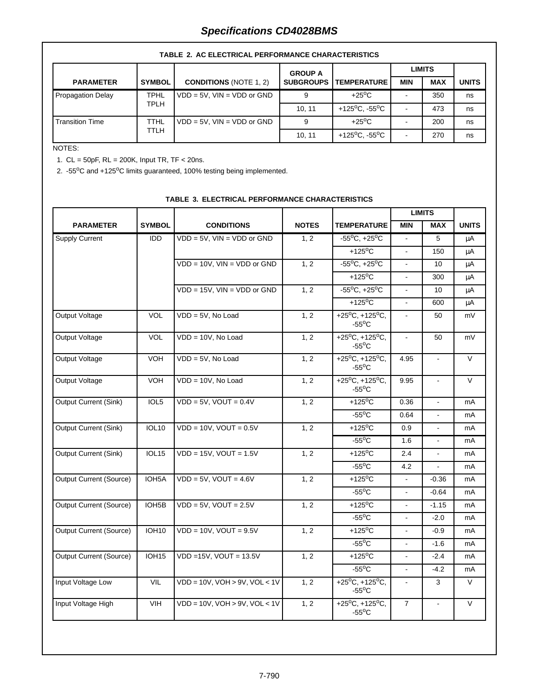|                        | TADLE 2. AU ELEUTRIUAL FERFURMANUE UNARAUTERISTIUS |                                 |                  |                                         |            |               |              |  |  |  |  |
|------------------------|----------------------------------------------------|---------------------------------|------------------|-----------------------------------------|------------|---------------|--------------|--|--|--|--|
|                        |                                                    |                                 | <b>GROUP A</b>   |                                         |            | <b>LIMITS</b> |              |  |  |  |  |
| <b>PARAMETER</b>       | <b>SYMBOL</b>                                      | <b>CONDITIONS (NOTE 1, 2)</b>   | <b>SUBGROUPS</b> | <b>TEMPERATURE</b>                      | <b>MIN</b> | <b>MAX</b>    | <b>UNITS</b> |  |  |  |  |
| Propagation Delay      | <b>TPHL</b>                                        | $VDD = 5V$ . $VIN = VDD$ or GND | 9                | $+25^{\circ}$ C                         |            | 350           | ns           |  |  |  |  |
|                        | TPLH                                               |                                 | 10.11            | +125 <sup>o</sup> C. -55 <sup>o</sup> C |            | 473           | ns           |  |  |  |  |
| <b>Transition Time</b> | TTHL<br>$VDD = 5V$ , $VIN = VDD$ or $GND$          |                                 | 9                | $+25^{\circ}$ C                         |            | 200           | ns           |  |  |  |  |
|                        | <b>TTLH</b>                                        |                                 | 10.11            | +125 <sup>o</sup> C. -55 <sup>o</sup> C |            | 270           | ns           |  |  |  |  |

#### **TABLE 2. AC ELECTRICAL PERFORMANCE CHARACTERISTICS**

#### NOTES:

1. CL = 50pF, RL = 200K, Input TR, TF < 20ns.

2. -55°C and +125°C limits guaranteed, 100% testing being implemented.

|                                |                    |                                       |              |                                                             |                | <b>LIMITS</b>  |              |
|--------------------------------|--------------------|---------------------------------------|--------------|-------------------------------------------------------------|----------------|----------------|--------------|
| <b>PARAMETER</b>               | <b>SYMBOL</b>      | <b>CONDITIONS</b>                     | <b>NOTES</b> | <b>TEMPERATURE</b>                                          | <b>MIN</b>     | <b>MAX</b>     | <b>UNITS</b> |
| <b>Supply Current</b>          | <b>IDD</b>         | $VDD = 5V$ , $VIN = VDD$ or $GND$     | 1, 2         | $-55^{\circ}$ C, $+25^{\circ}$ C                            |                | 5              | μA           |
|                                |                    |                                       |              | $+125$ <sup>o</sup> C                                       | $\blacksquare$ | 150            | μA           |
|                                |                    | $VDD = 10V$ , $VIN = VDD$ or GND      | 1, 2         | $-55^{\circ}$ C, $+25^{\circ}$ C                            | $\blacksquare$ | 10             | μA           |
|                                |                    |                                       |              | $+125^{\circ}$ C                                            | $\overline{a}$ | 300            | μA           |
|                                |                    | $VDD = 15V$ , $VIN = VDD$ or $GND$    | 1, 2         | $-55^{\circ}$ C, $+25^{\circ}$ C                            |                | 10             | μA           |
|                                |                    |                                       |              | $+125^{\circ}$ C                                            | $\overline{a}$ | 600            | μA           |
| Output Voltage                 | <b>VOL</b>         | $VDD = 5V$ , No Load                  | 1, 2         | $+25^{\circ}C, +125^{\circ}C,$<br>$-55^{\circ}$ C           | $\blacksquare$ | 50             | mV           |
| <b>Output Voltage</b>          | <b>VOL</b>         | $VDD = 10V$ , No Load                 | 1, 2         | +25 $^{\circ}$ C, +125 $^{\circ}$ C,<br>$-55^{\circ}$ C     | $\blacksquare$ | 50             | mV           |
| Output Voltage                 | <b>VOH</b>         | $VDD = 5V$ , No Load                  | 1, 2         | +25 <sup>o</sup> C, +125 <sup>o</sup> C,<br>$-55^{\circ}$ C | 4.95           | $\blacksquare$ | V            |
| Output Voltage                 | <b>VOH</b>         | $VDD = 10V$ , No Load                 | 1, 2         | +25 $^{\circ}$ C, +125 $^{\circ}$ C,<br>$-55^{\circ}$ C     | 9.95           | $\sim$         | $\vee$       |
| Output Current (Sink)          | IOL5               | $VDD = 5V$ , $VOUT = 0.4V$            | 1, 2         | $+125$ <sup>o</sup> C                                       | 0.36           |                | mA           |
|                                |                    |                                       |              | $-55^{\circ}$ C                                             | 0.64           | $\overline{a}$ | mA           |
| Output Current (Sink)          | <b>IOL10</b>       | $VDD = 10V$ , $VOUT = 0.5V$           | 1, 2         | $+125$ <sup>o</sup> C                                       | 0.9            | $\blacksquare$ | mA           |
|                                |                    |                                       |              | $-55^{\circ}$ C                                             | 1.6            |                | mA           |
| Output Current (Sink)          | IOL <sub>15</sub>  | $VDD = 15V$ , $VOUT = 1.5V$           | 1, 2         | $+125$ <sup>o</sup> C                                       | 2.4            |                | mA           |
|                                |                    |                                       |              | $-55^{\circ}$ C                                             | 4.2            | ä,             | mA           |
| <b>Output Current (Source)</b> | IOH <sub>5</sub> A | $VDD = 5V$ , $VOUT = 4.6V$            | 1, 2         | $+125$ <sup>o</sup> C                                       | ä,             | $-0.36$        | mA           |
|                                |                    |                                       |              | $-55^{\circ}$ C                                             |                | $-0.64$        | mA           |
| <b>Output Current (Source)</b> | IOH <sub>5</sub> B | $VDD = 5V$ , $VOUT = 2.5V$            | 1, 2         | $+125$ <sup>o</sup> C                                       | $\overline{a}$ | $-1.15$        | mA           |
|                                |                    |                                       |              | $-55^{\circ}$ C                                             | $\overline{a}$ | $-2.0$         | mA           |
| <b>Output Current (Source)</b> | <b>IOH10</b>       | $VDD = 10V$ , $VOUT = 9.5V$           | 1, 2         | $+125^{\circ}$ C                                            | $\overline{a}$ | $-0.9$         | mA           |
|                                |                    |                                       |              | $-55^{\circ}$ C                                             | $\blacksquare$ | $-1.6$         | mA           |
| <b>Output Current (Source)</b> | <b>IOH15</b>       | $VDD = 15V$ , $VOUT = 13.5V$          | 1, 2         | $+125$ <sup>o</sup> C                                       | $\blacksquare$ | $-2.4$         | mA           |
|                                |                    |                                       |              | $-55^{\circ}$ C                                             | $\omega$       | $-4.2$         | mA           |
| <b>Input Voltage Low</b>       | VIL                | $VDD = 10V$ , $VOH > 9V$ , $VOL < 1V$ | 1, 2         | +25 $^{\circ}$ C, +125 $^{\circ}$ C,<br>$-55^{\circ}$ C     |                | 3              | $\vee$       |
| Input Voltage High             | <b>VIH</b>         | $VDD = 10V$ , $VOH > 9V$ , $VOL < 1V$ | 1, 2         | +25 $^{\circ}$ C, +125 $^{\circ}$ C,<br>$-55^{\circ}$ C     | $\overline{7}$ | $\overline{a}$ | $\vee$       |

### **TABLE 3. ELECTRICAL PERFORMANCE CHARACTERISTICS**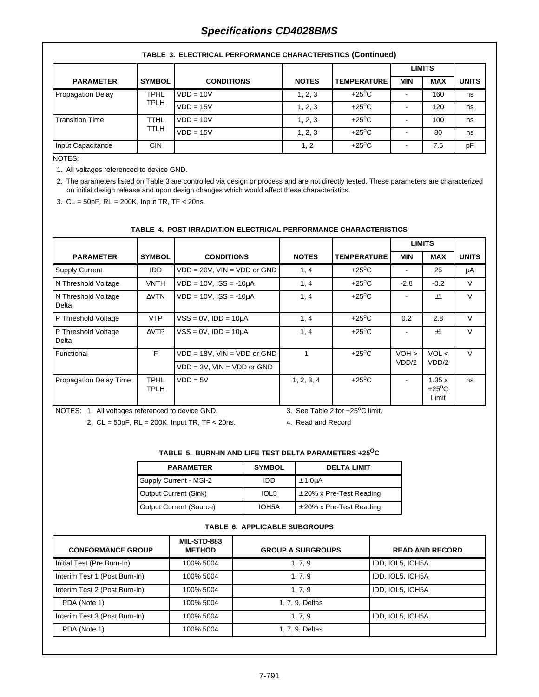# **Specifications CD4028BMS**

|                                         |               |                   |              |                    | <b>LIMITS</b> |            |              |  |  |  |
|-----------------------------------------|---------------|-------------------|--------------|--------------------|---------------|------------|--------------|--|--|--|
| <b>PARAMETER</b>                        | <b>SYMBOL</b> | <b>CONDITIONS</b> | <b>NOTES</b> | <b>TEMPERATURE</b> | <b>MIN</b>    | <b>MAX</b> | <b>UNITS</b> |  |  |  |
| <b>TPHL</b><br><b>Propagation Delay</b> |               | $VDD = 10V$       | 1, 2, 3      | $+25^{\circ}$ C    |               | 160        | ns           |  |  |  |
|                                         | TPLH          | $VDD = 15V$       | 1, 2, 3      | $+25^{\circ}$ C    |               | 120        | ns           |  |  |  |
| <b>Transition Time</b>                  | TTHL          | $VDD = 10V$       | 1, 2, 3      | $+25^{\circ}$ C    |               | 100        | ns           |  |  |  |
|                                         | <b>TTLH</b>   | $VDD = 15V$       | 1, 2, 3      | $+25^{\circ}$ C    |               | 80         | ns           |  |  |  |
| Input Capacitance                       | CIN.          |                   | 1, 2         | $+25^{\circ}$ C    |               | 7.5        | pF           |  |  |  |

#### **TABLE 3. ELECTRICAL PERFORMANCE CHARACTERISTICS (Continued)**

NOTES:

1. All voltages referenced to device GND.

2. The parameters listed on Table 3 are controlled via design or process and are not directly tested. These parameters are characterized on initial design release and upon design changes which would affect these characteristics.

3. CL = 50pF, RL = 200K, Input TR, TF < 20ns.

#### **TABLE 4. POST IRRADIATION ELECTRICAL PERFORMANCE CHARACTERISTICS**

|                               |                     |                                    |              |                    |            | <b>LIMITS</b>                     |              |
|-------------------------------|---------------------|------------------------------------|--------------|--------------------|------------|-----------------------------------|--------------|
| <b>PARAMETER</b>              | <b>SYMBOL</b>       | <b>CONDITIONS</b>                  | <b>NOTES</b> | <b>TEMPERATURE</b> | <b>MIN</b> | <b>MAX</b>                        | <b>UNITS</b> |
| <b>Supply Current</b>         | <b>IDD</b>          | $VDD = 20V$ , $VIN = VDD$ or $GND$ | 1, 4         | $+25^{\circ}$ C    |            | 25                                | μA           |
| N Threshold Voltage           | VNTH                | $VDD = 10V$ , $ISS = -10\mu A$     | 1, 4         |                    | $-2.8$     | $-0.2$                            | $\vee$       |
| N Threshold Voltage<br>Delta  | $\Delta$ VTN        | $VDD = 10V$ , $ISS = -10\mu A$     | 1, 4         | $+25^{\circ}$ C    |            | $+1$                              | $\vee$       |
| P Threshold Voltage           | <b>VTP</b>          | $VSS = 0V$ , $IDD = 10\mu A$       | 1, 4         | $+25^{\circ}$ C    | 0.2        | 2.8                               | $\vee$       |
| P Threshold Voltage<br>Delta  | $\triangle VTP$     | $VSS = 0V$ , $IDD = 10\mu A$       | 1, 4         | $+25^{\circ}$ C    |            | $+1$                              | $\vee$       |
| Functional                    | F.                  | $VDD = 18V$ , $VIN = VDD$ or $GND$ |              | $+25^{\circ}$ C    | $VOH$ >    | VOL <                             | $\vee$       |
|                               |                     | $VDD = 3V$ , $VIN = VDD$ or $GND$  |              |                    | VDD/2      | VDD/2                             |              |
| <b>Propagation Delay Time</b> | <b>TPHL</b><br>TPLH | $VDD = 5V$                         | 1, 2, 3, 4   | $+25^{\circ}$ C    |            | 1.35x<br>$+25^{\circ}$ C<br>Limit | ns           |

NOTES: 1. All voltages referenced to device GND.

3. See Table 2 for  $+25^{\circ}$ C limit.

2. CL = 50pF, RL = 200K, Input TR, TF < 20ns.

4. Read and Record

#### **TABLE 5. BURN-IN AND LIFE TEST DELTA PARAMETERS +25OC**

| <b>PARAMETER</b>        | <b>SYMBOL</b> | <b>DELTA LIMIT</b>           |
|-------------------------|---------------|------------------------------|
| Supply Current - MSI-2  | IDD           | $\pm$ 1.0 $\mu$ A            |
| Output Current (Sink)   | IOL5          | $\pm$ 20% x Pre-Test Reading |
| Output Current (Source) | IOH5A         | $\pm$ 20% x Pre-Test Reading |

#### **TABLE 6. APPLICABLE SUBGROUPS**

| <b>CONFORMANCE GROUP</b>      | MIL-STD-883<br><b>METHOD</b> | <b>GROUP A SUBGROUPS</b> | <b>READ AND RECORD</b> |
|-------------------------------|------------------------------|--------------------------|------------------------|
| Initial Test (Pre Burn-In)    | 100% 5004                    | 1, 7, 9                  | IDD, IOL5, IOH5A       |
| Interim Test 1 (Post Burn-In) | 100% 5004                    | 1, 7, 9                  | IDD, IOL5, IOH5A       |
| Interim Test 2 (Post Burn-In) | 100% 5004                    | 1, 7, 9                  | IDD, IOL5, IOH5A       |
| PDA (Note 1)                  | 100% 5004                    | 1, 7, 9, Deltas          |                        |
| Interim Test 3 (Post Burn-In) | 100% 5004                    | 1, 7, 9                  | IDD, IOL5, IOH5A       |
| PDA (Note 1)                  | 100% 5004                    | 1, 7, 9, Deltas          |                        |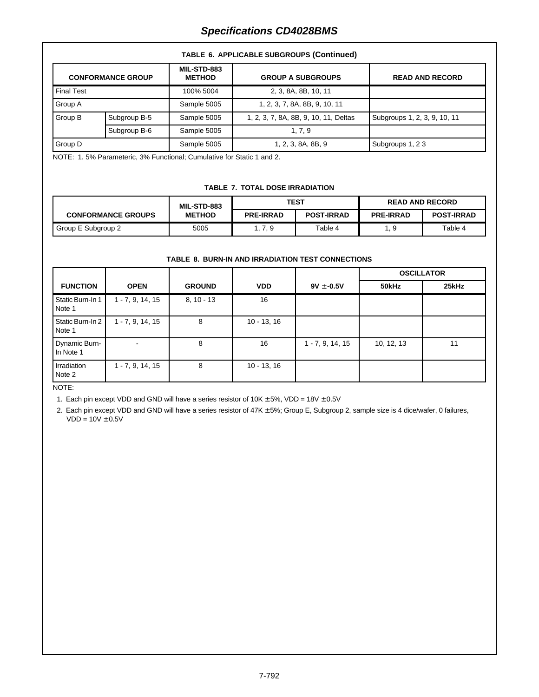# Final Test 100% 5004 2, 3, 8A, 8B, 10, 11 Group A **Sample 5005** 1, 2, 3, 7, 8A, 8B, 9, 10, 11 Group B Subgroup B-5 | Sample 5005 | 1, 2, 3, 7, 8A, 8B, 9, 10, 11, Deltas | Subgroups 1, 2, 3, 9, 10, 11 Subgroup B-6 Sample 5005 1, 7, 9 Group D Sample 5005 1, 2, 3, 8A, 8B, 9 Subgroups 1, 2 3 **CONFORMANCE GROUP MIL-STD-883** GROUP A SUBGROUPS READ AND RECORD

#### **TABLE 6. APPLICABLE SUBGROUPS (Continued)**

NOTE: 1. 5% Parameteric, 3% Functional; Cumulative for Static 1 and 2.

#### **TABLE 7. TOTAL DOSE IRRADIATION**

|                           | <b>MIL-STD-883</b> |                  | <b>TEST</b>       | <b>READ AND RECORD</b> |                   |  |
|---------------------------|--------------------|------------------|-------------------|------------------------|-------------------|--|
| <b>CONFORMANCE GROUPS</b> | <b>METHOD</b>      | <b>PRE-IRRAD</b> | <b>POST-IRRAD</b> | <b>PRE-IRRAD</b>       | <b>POST-IRRAD</b> |  |
| Group E Subgroup 2        | 5005               | 1, 7, 9          | Table 4           | 1.9                    | Table 4           |  |

#### **TABLE 8. BURN-IN AND IRRADIATION TEST CONNECTIONS**

|                            |                    |               |               |                    | <b>OSCILLATOR</b> |       |  |
|----------------------------|--------------------|---------------|---------------|--------------------|-------------------|-------|--|
| <b>FUNCTION</b>            | <b>OPEN</b>        | <b>GROUND</b> | <b>VDD</b>    | $9V \pm -0.5V$     | 50kHz             | 25kHz |  |
| Static Burn-In 1<br>Note 1 | $1 - 7, 9, 14, 15$ | $8, 10 - 13$  | 16            |                    |                   |       |  |
| Static Burn-In 2<br>Note 1 | $1 - 7, 9, 14, 15$ | 8             | $10 - 13, 16$ |                    |                   |       |  |
| Dynamic Burn-<br>In Note 1 |                    | 8             | 16            | $1 - 7, 9, 14, 15$ | 10, 12, 13        | 11    |  |
| Irradiation<br>Note 2      | $1 - 7, 9, 14, 15$ | 8             | $10 - 13, 16$ |                    |                   |       |  |

NOTE:

1. Each pin except VDD and GND will have a series resistor of  $10K \pm 5\%$ , VDD =  $18V \pm 0.5V$ 

2. Each pin except VDD and GND will have a series resistor of 47K ± 5%; Group E, Subgroup 2, sample size is 4 dice/wafer, 0 failures,  $VDD = 10V \pm 0.5V$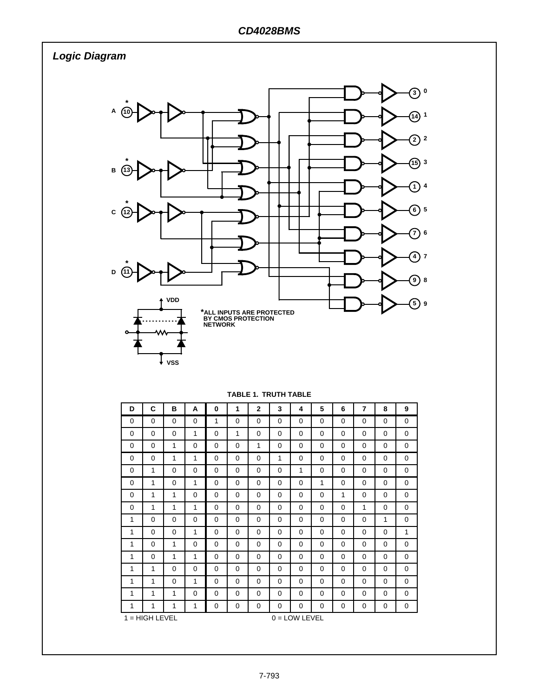**Logic Diagram**



| D        | C                                   | в        | A        | 0        | 1        | $\mathbf{2}$ | 3        | 4        | 5        | 6        | 7        | 8        | 9        |
|----------|-------------------------------------|----------|----------|----------|----------|--------------|----------|----------|----------|----------|----------|----------|----------|
| $\Omega$ | $\Omega$                            | $\Omega$ | $\Omega$ | 1        | $\Omega$ | $\Omega$     | $\Omega$ | $\Omega$ | $\Omega$ | $\Omega$ | $\Omega$ | $\Omega$ | $\Omega$ |
| $\Omega$ | $\Omega$                            | $\Omega$ | 1        | $\Omega$ | 1        | 0            | 0        | 0        | $\Omega$ | 0        | $\Omega$ | 0        | 0        |
| $\Omega$ | 0                                   | 1        | 0        | 0        | $\Omega$ | 1            | 0        | 0        | $\Omega$ | 0        | 0        | 0        | 0        |
| $\Omega$ | 0                                   | 1        | 1        | 0        | $\Omega$ | 0            | 1        | 0        | 0        | 0        | 0        | 0        | 0        |
| $\Omega$ | 1                                   | $\Omega$ | $\Omega$ | 0        | $\Omega$ | $\Omega$     | 0        | 1        | 0        | 0        | $\Omega$ | 0        | 0        |
| $\Omega$ | 1                                   | 0        | 1        | 0        | $\Omega$ | 0            | 0        | 0        | 1        | 0        | 0        | 0        | 0        |
| $\Omega$ | 1                                   | 1        | 0        | 0        | 0        | 0            | 0        | 0        | 0        | 1        | 0        | 0        | 0        |
| 0        | 1                                   | 1        | 1        | 0        | 0        | 0            | 0        | 0        | 0        | 0        | 1        | 0        | 0        |
| 1        | 0                                   | 0        | 0        | 0        | 0        | 0            | 0        | 0        | $\Omega$ | 0        | 0        | 1        | 0        |
| 1        | $\Omega$                            | $\Omega$ | 1        | 0        | 0        | 0            | 0        | 0        | 0        | 0        | 0        | 0        | 1        |
| 1        | $\Omega$                            | 1        | $\Omega$ | $\Omega$ | $\Omega$ | $\Omega$     | $\Omega$ | $\Omega$ | $\Omega$ | $\Omega$ | $\Omega$ | $\Omega$ | $\Omega$ |
| 1        | $\Omega$                            | 1        | 1        | $\Omega$ | $\Omega$ | $\Omega$     | $\Omega$ | $\Omega$ | $\Omega$ | $\Omega$ | $\Omega$ | $\Omega$ | 0        |
| 1        | 1                                   | $\Omega$ | $\Omega$ | $\Omega$ | $\Omega$ | $\Omega$     | $\Omega$ | $\Omega$ | $\Omega$ | $\Omega$ | $\Omega$ | $\Omega$ | 0        |
| 1        | 1                                   | $\Omega$ | 1        | $\Omega$ | $\Omega$ | $\Omega$     | $\Omega$ | $\Omega$ | $\Omega$ | $\Omega$ | $\Omega$ | 0        | 0        |
| 1        | 1                                   | 1        | $\Omega$ | $\Omega$ | $\Omega$ | $\Omega$     | 0        | $\Omega$ | $\Omega$ | $\Omega$ | 0        | 0        | 0        |
| 1        | 1                                   | 1        | 1        | 0        | 0        | 0            | 0        | 0        | 0        | 0        | 0        | 0        | 0        |
|          | $1 = HIGH$ LEVEL<br>$0 =$ LOW LEVEL |          |          |          |          |              |          |          |          |          |          |          |          |

**TABLE 1. TRUTH TABLE**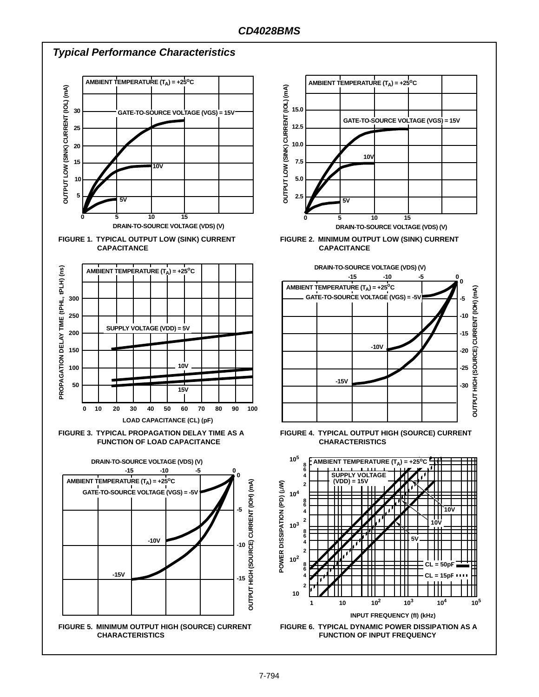#### **Typical Performance Characteristics AMBIENT TEMPERATURE (TA) = +25°C AMBIENT TEMPERATURE (TA) = +25oC** OUTPUT LOW (SINK) CURRENT (IOL) (mA) OUTPUT LOW (SINK) CURRENT (IOL) (mA) **OUTPUT LOW (SINK) CURRENT (IOL) (mA) OUTPUT LOW (SINK) CURRENT (IOL) (mA) 15.0 30 GATE-TO-SOURCE VOLTAGE (VGS) = 15V GATE-TO-SOURCE VOLTAGE (VGS) = 15V 12.5 25 10.0 20 10V 7.5 15 10V 5.0 10 5 2.5 5V 5V 0 5 10 15 0 5 10 15 DRAIN-TO-SOURCE VOLTAGE (VDS) (V) DRAIN-TO-SOURCE VOLTAGE (VDS) (V) FIGURE 1. TYPICAL OUTPUT LOW (SINK) CURRENT FIGURE 2. MINIMUM OUTPUT LOW (SINK) CURRENT CAPACITANCE CAPACITANCE DRAIN-TO-SOURCE VOLTAGE (VDS) (V) AMBIENT TEMPERATURE (TA) = +25°C** DELAY TIME (tPHL, tPLH) (ns) **PROPAGATION DELAY TIME (tPHL, tPLH) (ns) -15 -10 -5 0 0 AMBIENT TEMPERATURE (TA) = +25°C** OUTPUT HIGH (SOURCE) CURRENT (IOH) (mA) **OUTPUT HIGH (SOURCE) CURRENT (IOH) (mA) GATE-TO-SOURCE VOLTAGE (VGS) = -5V 300 -5 250 -10 SUPPLY VOLTAGE (VDD) = 5V 200 -15 -10V 150 -20** PROPAGATION **10V -25 100 -15V 50 -30 15V 0 10 20 30 40 50 60 70 80 90 100 LOAD CAPACITANCE (CL) (pF) FIGURE 3. TYPICAL PROPAGATION DELAY TIME AS A FIGURE 4. TYPICAL OUTPUT HIGH (SOURCE) CURRENT FUNCTION OF LOAD CAPACITANCE CHARACTERISTICS 10<sup>5</sup> AMBIENT TEMPERATURE**  $(T_A) = +25^{\circ}C$ **DRAIN-TO-SOURCE VOLTAGE (VDS) (V) 8 -15 -10 -5 0 6 SUPPLY VOLTAGE 0 4 AMBIENT TEMPERATURE (TA) = +25°C (VDD) = 15V** OUTPUT HIGH (SOURCE) CURRENT (IOH) (mA) **OUTPUT HIGH (SOURCE) CURRENT (IOH) (mA)** POWER DISSIPATION (PD) (LW) **POWER DISSIPATION (PD) (**µ**W) 2 GATE-TO-SOURCE VOLTAGE (VGS) = -5V 10<sup>4</sup> 8 6 -5**  $10V$ **4 2 10V 10<sup>3</sup> 8 6 5V -10V 4 -10 2 10<sup>2</sup>** 50<sub>p</sub> **8 6 -15V CL = 15pF 4 -15 2 10 1 10 10<sup>2</sup> 103 10<sup>4</sup> 10<sup>5</sup>INPUT FREQUENCY (fI) (kHz) FIGURE 5. MINIMUM OUTPUT HIGH (SOURCE) CURRENT FIGURE 6. TYPICAL DYNAMIC POWER DISSIPATION AS A CHARACTERISTICS FUNCTION OF INPUT FREQUENCY**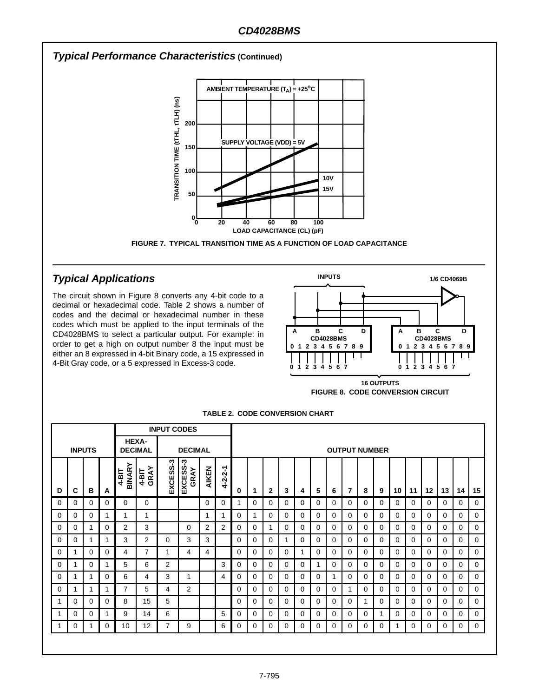

# **Typical Applications**

The circuit shown in Figure 8 converts any 4-bit code to a decimal or hexadecimal code. Table 2 shows a number of codes and the decimal or hexadecimal number in these codes which must be applied to the input terminals of the CD4028BMS to select a particular output. For example: in order to get a high on output number 8 the input must be either an 8 expressed in 4-bit Binary code, a 15 expressed in 4-Bit Gray code, or a 5 expressed in Excess-3 code.



**FIGURE 8. CODE CONVERSION CIRCUIT 16 OUTPUTS**

|               |          |          |          | <b>INPUT CODES</b>             |                 |                |                  |                |                 |                      |   |              |          |          |   |          |          |          |          |          |          |          |    |          |          |
|---------------|----------|----------|----------|--------------------------------|-----------------|----------------|------------------|----------------|-----------------|----------------------|---|--------------|----------|----------|---|----------|----------|----------|----------|----------|----------|----------|----|----------|----------|
| <b>INPUTS</b> |          |          |          | <b>HEXA-</b><br><b>DECIMAL</b> |                 | <b>DECIMAL</b> |                  |                |                 | <b>OUTPUT NUMBER</b> |   |              |          |          |   |          |          |          |          |          |          |          |    |          |          |
| D             | С        | в        | A        | BINARY<br>$4-BT$               | GRAY<br>$4-BIT$ | EXCESS-3       | EXCESS-3<br>GRAY | AIKEN          | $4 - 2 - 2 - 1$ | 0                    | 1 | $\mathbf{2}$ | 3        | 4        | 5 | 6        | 7        | 8        | 9        | 10       | 11       | 12       | 13 | 14       | 15       |
| $\Omega$      | $\Omega$ | 0        | 0        | 0                              | $\Omega$        |                |                  | $\Omega$       | $\Omega$        | 1                    | 0 | $\Omega$     | $\Omega$ | 0        | 0 | $\Omega$ | 0        | $\Omega$ | $\Omega$ | 0        | $\Omega$ | $\Omega$ | 0  | 0        | $\Omega$ |
| $\Omega$      | 0        | $\Omega$ | 1.       | 1                              | 1               |                |                  | 1              |                 | $\Omega$             |   | $\Omega$     | $\Omega$ | 0        | 0 | $\Omega$ | $\Omega$ | $\Omega$ | $\Omega$ | $\Omega$ | $\Omega$ | $\Omega$ | 0  | $\Omega$ | $\Omega$ |
| 0             | 0        | 1        | $\Omega$ | $\overline{2}$                 | 3               |                | 0                | $\overline{2}$ | 2               | 0                    | 0 | 1            | $\Omega$ | $\Omega$ | 0 | 0        | $\Omega$ | 0        | 0        | 0        | $\Omega$ | 0        | 0  | $\Omega$ | $\Omega$ |
| 0             | 0        | 1        | 1        | 3                              | 2               | 0              | 3                | 3              |                 | $\Omega$             | 0 | 0            | 1        | 0        | 0 | 0        | $\Omega$ | 0        | 0        | 0        | $\Omega$ | 0        | 0  | $\Omega$ | $\Omega$ |
| 0             |          | 0        | $\Omega$ | 4                              | 7               | 1              | 4                | 4              |                 | $\Omega$             | 0 | 0            | $\Omega$ |          | 0 | 0        | $\Omega$ | 0        | 0        | 0        | $\Omega$ | 0        | 0  | $\Omega$ | $\Omega$ |
| 0             |          | 0        | 1        | 5                              | 6               | 2              |                  |                | 3               | $\Omega$             | 0 | 0            | $\Omega$ | 0        | 1 | $\Omega$ | 0        | 0        | 0        | 0        | $\Omega$ | 0        | 0  | $\Omega$ | $\Omega$ |
| 0             |          | 1        | 0        | 6                              | 4               | 3              | 1                |                | 4               | $\Omega$             | 0 | 0            | $\Omega$ | 0        | 0 | 1        | 0        | 0        | 0        | $\Omega$ | $\Omega$ | 0        | 0  | 0        | $\Omega$ |
| 0             |          | 1        | 1        | 7                              | 5               | 4              | 2                |                |                 | $\Omega$             | 0 | 0            | $\Omega$ | 0        | 0 | 0        |          | 0        | 0        | $\Omega$ | $\Omega$ | 0        | 0  | 0        | 0        |
|               | $\Omega$ | 0        | $\Omega$ | 8                              | 15              | 5              |                  |                |                 | $\Omega$             | 0 | 0            | $\Omega$ | 0        | 0 | 0        | 0        |          | 0        | 0        | $\Omega$ | 0        | 0  | 0        | $\Omega$ |
|               | 0        | 0        | 1        | 9                              | 14              | 6              |                  |                | 5               | $\Omega$             | 0 | $\Omega$     | $\Omega$ | 0        | 0 | $\Omega$ | 0        | $\Omega$ | 1        | 0        | $\Omega$ | 0        | 0  | 0        | $\Omega$ |
|               | 0        | 1        | 0        | 10                             | 12              | 7              | 9                |                | 6               | 0                    | 0 | 0            | 0        | 0        | 0 | 0        | 0        | 0        | 0        | 1        | 0        | 0        | 0  | 0        | 0        |
|               |          |          |          |                                |                 |                |                  |                |                 |                      |   |              |          |          |   |          |          |          |          |          |          |          |    |          |          |

**TABLE 2. CODE CONVERSION CHART**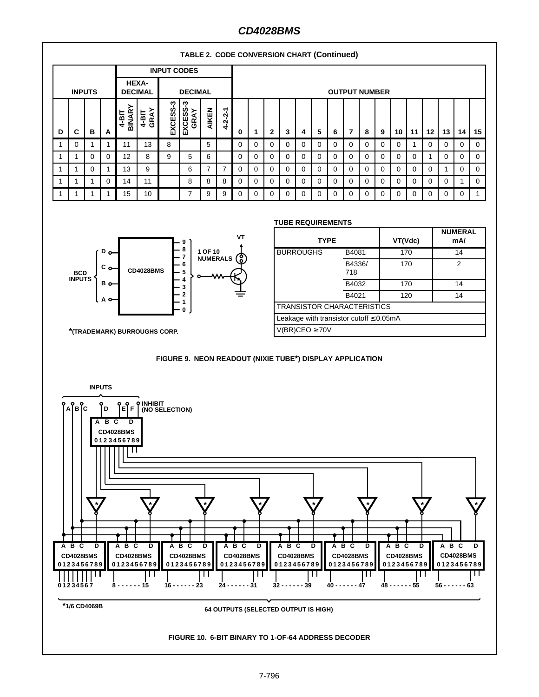# **CD4028BMS**



#### **TABLE 2. CODE CONVERSION CHART (Continued)**